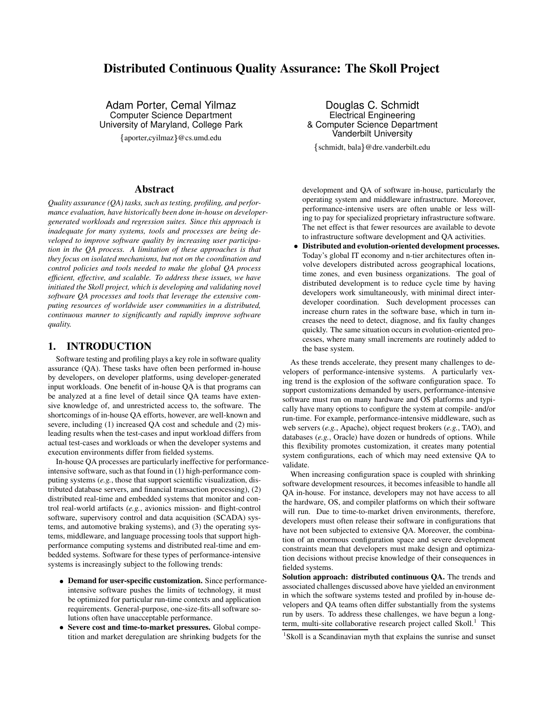# **Distributed Continuous Quality Assurance: The Skoll Project**

Adam Porter, Cemal Yilmaz Computer Science Department University of Maryland, College Park

aporter,cyilmaz @cs.umd.edu

#### **Abstract**

*Quality assurance (QA) tasks, such as testing, profiling, and performance evaluation, have historically been done in-house on developergenerated workloads and regression suites. Since this approach is inadequate for many systems, tools and processes are being developed to improve software quality by increasing user participation in the QA process. A limitation of these approaches is that they focus on isolated mechanisms, but not on the coordination and control policies and tools needed to make the global QA process efficient, effective, and scalable. To address these issues, we have initiated the Skoll project, which is developing and validating novel software QA processes and tools that leverage the extensive computing resources of worldwide user communities in a distributed, continuous manner to significantly and rapidly improve software quality.*

#### **1. INTRODUCTION**

Software testing and profiling plays a key role in software quality assurance (QA). These tasks have often been performed in-house by developers, on developer platforms, using developer-generated input workloads. One benefit of in-house QA is that programs can be analyzed at a fine level of detail since QA teams have extensive knowledge of, and unrestricted access to, the software. The shortcomings of in-house QA efforts, however, are well-known and severe, including (1) increased QA cost and schedule and (2) misleading results when the test-cases and input workload differs from actual test-cases and workloads or when the developer systems and execution environments differ from fielded systems.

In-house QA processes are particularly ineffective for performanceintensive software, such as that found in (1) high-performance computing systems (*e.g.*, those that support scientific visualization, distributed database servers, and financial transaction processing), (2) distributed real-time and embedded systems that monitor and control real-world artifacts (*e.g.*, avionics mission- and flight-control software, supervisory control and data acquisition (SCADA) systems, and automotive braking systems), and (3) the operating systems, middleware, and language processing tools that support highperformance computing systems and distributed real-time and embedded systems. Software for these types of performance-intensive systems is increasingly subject to the following trends:

- **Demand for user-specific customization.** Since performanceintensive software pushes the limits of technology, it must be optimized for particular run-time contexts and application requirements. General-purpose, one-size-fits-all software solutions often have unacceptable performance.
- **Severe cost and time-to-market pressures.** Global competition and market deregulation are shrinking budgets for the

Douglas C. Schmidt Electrical Engineering & Computer Science Department Vanderbilt University

schmidt, bala @dre.vanderbilt.edu

development and QA of software in-house, particularly the operating system and middleware infrastructure. Moreover, performance-intensive users are often unable or less willing to pay for specialized proprietary infrastructure software. The net effect is that fewer resources are available to devote to infrastructure software development and QA activities.

- **Distributed and evolution-oriented development processes.** Today's global IT economy and n-tier architectures often involve developers distributed across geographical locations, time zones, and even business organizations. The goal of distributed development is to reduce cycle time by having developers work simultaneously, with minimal direct interdeveloper coordination. Such development processes can increase churn rates in the software base, which in turn increases the need to detect, diagnose, and fix faulty changes quickly. The same situation occurs in evolution-oriented processes, where many small increments are routinely added to the base system.

As these trends accelerate, they present many challenges to developers of performance-intensive systems. A particularly vexing trend is the explosion of the software configuration space. To support customizations demanded by users, performance-intensive software must run on many hardware and OS platforms and typically have many options to configure the system at compile- and/or run-time. For example, performance-intensive middleware, such as web servers (*e.g.*, Apache), object request brokers (*e.g.*, TAO), and databases (*e.g.*, Oracle) have dozen or hundreds of options. While this flexibility promotes customization, it creates many potential system configurations, each of which may need extensive QA to validate.

When increasing configuration space is coupled with shrinking software development resources, it becomes infeasible to handle all QA in-house. For instance, developers may not have access to all the hardware, OS, and compiler platforms on which their software will run. Due to time-to-market driven environments, therefore, developers must often release their software in configurations that have not been subjected to extensive QA. Moreover, the combination of an enormous configuration space and severe development constraints mean that developers must make design and optimization decisions without precise knowledge of their consequences in fielded systems.

**Solution approach: distributed continuous QA.** The trends and associated challenges discussed above have yielded an environment in which the software systems tested and profiled by in-house developers and QA teams often differ substantially from the systems run by users. To address these challenges, we have begun a longterm, multi-site collaborative research project called Skoll.<sup>1</sup> This

<sup>1</sup>Skoll is a Scandinavian myth that explains the sunrise and sunset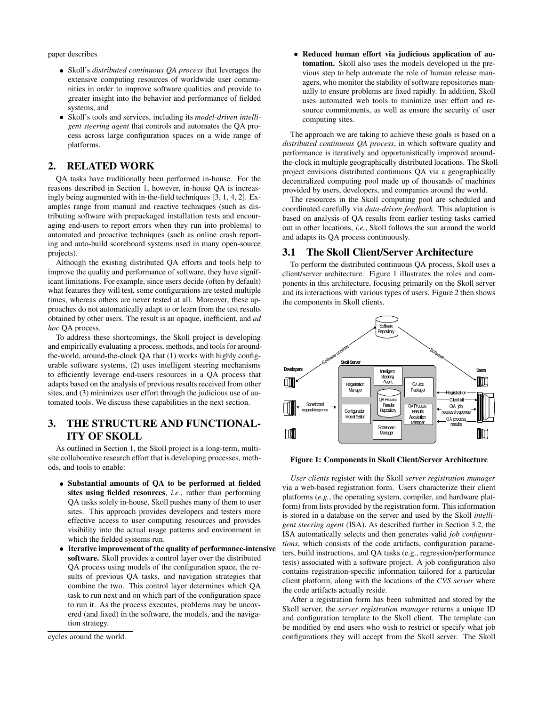paper describes

- Skoll's *distributed continuous QA process* that leverages the extensive computing resources of worldwide user communities in order to improve software qualities and provide to greater insight into the behavior and performance of fielded systems, and
- Skoll's tools and services, including its *model-driven intelligent steering agent* that controls and automates the QA process across large configuration spaces on a wide range of platforms.

## **2. RELATED WORK**

QA tasks have traditionally been performed in-house. For the reasons described in Section 1, however, in-house QA is increasingly being augmented with in-the-field techniques [3, 1, 4, 2]. Examples range from manual and reactive techniques (such as distributing software with prepackaged installation tests and encouraging end-users to report errors when they run into problems) to automated and proactive techniques (such as online crash reporting and auto-build scoreboard systems used in many open-source projects).

Although the existing distributed QA efforts and tools help to improve the quality and performance of software, they have significant limitations. For example, since users decide (often by default) what features they will test, some configurations are tested multiple times, whereas others are never tested at all. Moreover, these approaches do not automatically adapt to or learn from the test results obtained by other users. The result is an opaque, inefficient, and *ad hoc* QA process.

To address these shortcomings, the Skoll project is developing and empirically evaluating a process, methods, and tools for aroundthe-world, around-the-clock QA that (1) works with highly configurable software systems, (2) uses intelligent steering mechanisms to efficiently leverage end-users resources in a QA process that adapts based on the analysis of previous results received from other sites, and (3) minimizes user effort through the judicious use of automated tools. We discuss these capabilities in the next section.

# **3. THE STRUCTURE AND FUNCTIONAL-ITY OF SKOLL**

As outlined in Section 1, the Skoll project is a long-term, multisite collaborative research effort that is developing processes, methods, and tools to enable:

- **Substantial amounts of QA to be performed at fielded sites using fielded resources**, *i.e.*, rather than performing QA tasks solely in-house, Skoll pushes many of them to user sites. This approach provides developers and testers more effective access to user computing resources and provides visibility into the actual usage patterns and environment in which the fielded systems run.
- **Iterative improvement of the quality of performance-intensive software.** Skoll provides a control layer over the distributed QA process using models of the configuration space, the results of previous QA tasks, and navigation strategies that combine the two. This control layer determines which QA task to run next and on which part of the configuration space to run it. As the process executes, problems may be uncovered (and fixed) in the software, the models, and the navigation strategy.

cycles around the world.

- **Reduced human effort via judicious application of automation.** Skoll also uses the models developed in the previous step to help automate the role of human release managers, who monitor the stability of software repositories manually to ensure problems are fixed rapidly. In addition, Skoll uses automated web tools to minimize user effort and resource commitments, as well as ensure the security of user computing sites.

The approach we are taking to achieve these goals is based on a *distributed continuous QA process*, in which software quality and performance is iteratively and opportunistically improved aroundthe-clock in multiple geographically distributed locations. The Skoll project envisions distributed continuous QA via a geographically decentralized computing pool made up of thousands of machines provided by users, developers, and companies around the world.

The resources in the Skoll computing pool are scheduled and coordinated carefully via *data-driven feedback*. This adaptation is based on analysis of QA results from earlier testing tasks carried out in other locations, *i.e.*, Skoll follows the sun around the world and adapts its QA process continuously.

### **3.1 The Skoll Client/Server Architecture**

To perform the distributed continuous QA process, Skoll uses a client/server architecture. Figure 1 illustrates the roles and components in this architecture, focusing primarily on the Skoll server and its interactions with various types of users. Figure 2 then shows the components in Skoll clients.



**Figure 1: Components in Skoll Client/Server Architecture**

*User clients* register with the Skoll *server registration manager* via a web-based registration form. Users characterize their client platforms (*e.g.*, the operating system, compiler, and hardware platform) from lists provided by the registration form. This information is stored in a database on the server and used by the Skoll *intelligent steering agent* (ISA). As described further in Section 3.2, the ISA automatically selects and then generates valid *job configurations*, which consists of the code artifacts, configuration parameters, build instructions, and QA tasks (e.g., regression/performance tests) associated with a software project. A job configuration also contains registration-specific information tailored for a particular client platform, along with the locations of the *CVS server* where the code artifacts actually reside.

After a registration form has been submitted and stored by the Skoll server, the *server registration manager* returns a unique ID and configuration template to the Skoll client. The template can be modified by end users who wish to restrict or specify what job configurations they will accept from the Skoll server. The Skoll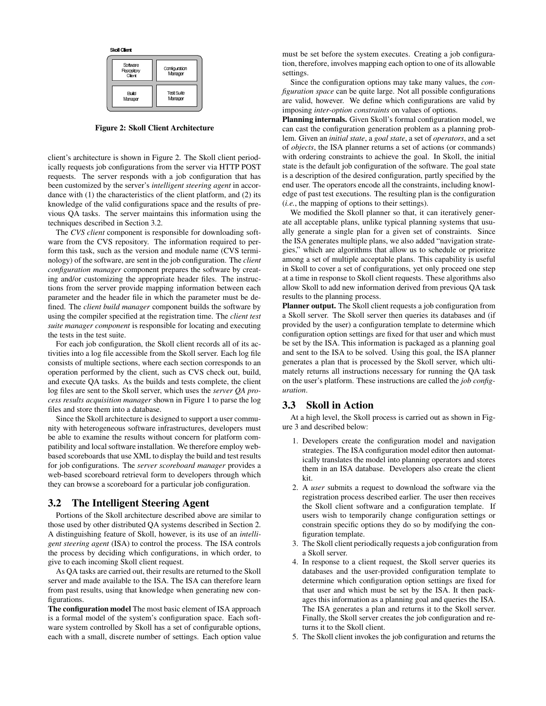| Skoll Client                     |                          |
|----------------------------------|--------------------------|
| Software<br>Repository<br>Client | Configuration<br>Manager |
| Build<br>Manager                 | Test Suite<br>Manager    |

**Figure 2: Skoll Client Architecture**

client's architecture is shown in Figure 2. The Skoll client periodically requests job configurations from the server via HTTP POST requests. The server responds with a job configuration that has been customized by the server's *intelligent steering agent* in accordance with (1) the characteristics of the client platform, and (2) its knowledge of the valid configurations space and the results of previous QA tasks. The server maintains this information using the techniques described in Section 3.2.

The *CVS client* component is responsible for downloading software from the CVS repository. The information required to perform this task, such as the version and module name (CVS terminology) of the software, are sent in the job configuration. The *client configuration manager* component prepares the software by creating and/or customizing the appropriate header files. The instructions from the server provide mapping information between each parameter and the header file in which the parameter must be defined. The *client build manager* component builds the software by using the compiler specified at the registration time. The *client test suite manager component* is responsible for locating and executing the tests in the test suite.

For each job configuration, the Skoll client records all of its activities into a log file accessible from the Skoll server. Each log file consists of multiple sections, where each section corresponds to an operation performed by the client, such as CVS check out, build, and execute QA tasks. As the builds and tests complete, the client log files are sent to the Skoll server, which uses the *server QA process results acquisition manager* shown in Figure 1 to parse the log files and store them into a database.

Since the Skoll architecture is designed to support a user community with heterogeneous software infrastructures, developers must be able to examine the results without concern for platform compatibility and local software installation. We therefore employ webbased scoreboards that use XML to display the build and test results for job configurations. The *server scoreboard manager* provides a web-based scoreboard retrieval form to developers through which they can browse a scoreboard for a particular job configuration.

### **3.2 The Intelligent Steering Agent**

Portions of the Skoll architecture described above are similar to those used by other distributed QA systems described in Section 2. A distinguishing feature of Skoll, however, is its use of an *intelligent steering agent* (ISA) to control the process. The ISA controls the process by deciding which configurations, in which order, to give to each incoming Skoll client request.

As QA tasks are carried out, their results are returned to the Skoll server and made available to the ISA. The ISA can therefore learn from past results, using that knowledge when generating new configurations.

**The configuration model** The most basic element of ISA approach is a formal model of the system's configuration space. Each software system controlled by Skoll has a set of configurable options, each with a small, discrete number of settings. Each option value must be set before the system executes. Creating a job configuration, therefore, involves mapping each option to one of its allowable settings.

Since the configuration options may take many values, the *configuration space* can be quite large. Not all possible configurations are valid, however. We define which configurations are valid by imposing *inter-option constraints* on values of options.

**Planning internals.** Given Skoll's formal configuration model, we can cast the configuration generation problem as a planning problem. Given an *initial state*, a *goal state*, a set of *operators*, and a set of *objects*, the ISA planner returns a set of actions (or commands) with ordering constraints to achieve the goal. In Skoll, the initial state is the default job configuration of the software. The goal state is a description of the desired configuration, partly specified by the end user. The operators encode all the constraints, including knowledge of past test executions. The resulting plan is the configuration (*i.e.*, the mapping of options to their settings).

We modified the Skoll planner so that, it can iteratively generate all acceptable plans, unlike typical planning systems that usually generate a single plan for a given set of constraints. Since the ISA generates multiple plans, we also added "navigation strategies," which are algorithms that allow us to schedule or prioritze among a set of multiple acceptable plans. This capability is useful in Skoll to cover a set of configurations, yet only proceed one step at a time in response to Skoll client requests. These algorithms also allow Skoll to add new information derived from previous QA task results to the planning process.

**Planner output.** The Skoll client requests a job configuration from a Skoll server. The Skoll server then queries its databases and (if provided by the user) a configuration template to determine which configuration option settings are fixed for that user and which must be set by the ISA. This information is packaged as a planning goal and sent to the ISA to be solved. Using this goal, the ISA planner generates a plan that is processed by the Skoll server, which ultimately returns all instructions necessary for running the QA task on the user's platform. These instructions are called the *job configuration*.

### **3.3 Skoll in Action**

At a high level, the Skoll process is carried out as shown in Figure 3 and described below:

- 1. Developers create the configuration model and navigation strategies. The ISA configuration model editor then automatically translates the model into planning operators and stores them in an ISA database. Developers also create the client kit.
- 2. A *user* submits a request to download the software via the registration process described earlier. The user then receives the Skoll client software and a configuration template. If users wish to temporarily change configuration settings or constrain specific options they do so by modifying the configuration template.
- 3. The Skoll client periodically requests a job configuration from a Skoll server.
- 4. In response to a client request, the Skoll server queries its databases and the user-provided configuration template to determine which configuration option settings are fixed for that user and which must be set by the ISA. It then packages this information as a planning goal and queries the ISA. The ISA generates a plan and returns it to the Skoll server. Finally, the Skoll server creates the job configuration and returns it to the Skoll client.
- 5. The Skoll client invokes the job configuration and returns the